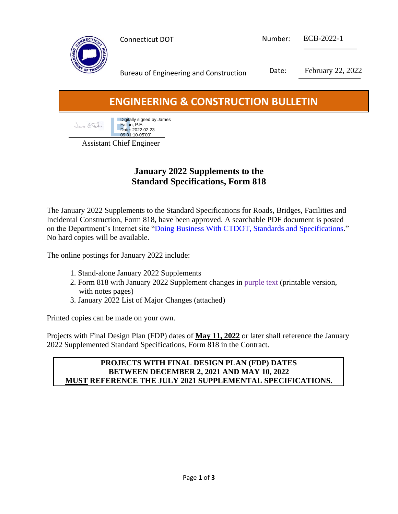

Bureau of Engineering and Construction Date: February 22, 2022

# **ENGINEERING & CONSTRUCTION BULLETIN**

**Digitally signed by James** Janes a Jabr Fallon, P.E. Date: 2022.02.23 09:01:10-05'00'

Assistant Chief Engineer

# **January 2022 Supplements to the Standard Specifications, Form 818**

The January 2022 Supplements to the Standard Specifications for Roads, Bridges, Facilities and Incidental Construction, Form 818, have been approved. A searchable PDF document is posted on the Department's Internet site ["Doing Business With CTDOT, Standards and Specifications.](https://portal.ct.gov/DOT/Business/General/Standards-and-Specifications)" No hard copies will be available.

The online postings for January 2022 include:

- 1. Stand-alone January 2022 Supplements
- 2. Form 818 with January 2022 Supplement changes in purple text (printable version, with notes pages)
- 3. January 2022 List of Major Changes (attached)

Printed copies can be made on your own.

Projects with Final Design Plan (FDP) dates of **May 11, 2022** or later shall reference the January 2022 Supplemented Standard Specifications, Form 818 in the Contract.

#### **PROJECTS WITH FINAL DESIGN PLAN (FDP) DATES BETWEEN DECEMBER 2, 2021 AND MAY 10, 2022 MUST REFERENCE THE JULY 2021 SUPPLEMENTAL SPECIFICATIONS.**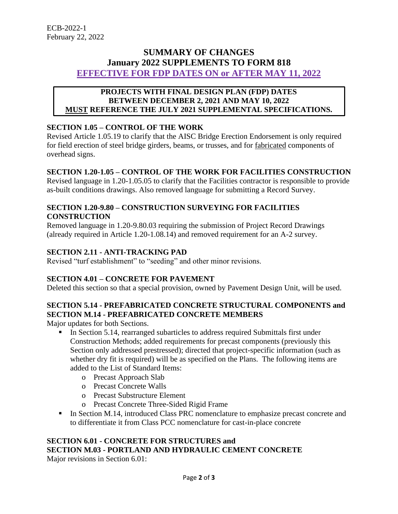# **SUMMARY OF CHANGES January 2022 SUPPLEMENTS TO FORM 818 EFFECTIVE FOR FDP DATES ON or AFTER MAY 11, 2022**

#### **PROJECTS WITH FINAL DESIGN PLAN (FDP) DATES BETWEEN DECEMBER 2, 2021 AND MAY 10, 2022 MUST REFERENCE THE JULY 2021 SUPPLEMENTAL SPECIFICATIONS.**

## **SECTION 1.05 – CONTROL OF THE WORK**

Revised Article 1.05.19 to clarify that the AISC Bridge Erection Endorsement is only required for field erection of steel bridge girders, beams, or trusses, and for fabricated components of overhead signs.

#### **SECTION 1.20-1.05 – CONTROL OF THE WORK FOR FACILITIES CONSTRUCTION**

Revised language in 1.20-1.05.05 to clarify that the Facilities contractor is responsible to provide as-built conditions drawings. Also removed language for submitting a Record Survey.

#### **SECTION 1.20-9.80 – CONSTRUCTION SURVEYING FOR FACILITIES CONSTRUCTION**

Removed language in 1.20-9.80.03 requiring the submission of Project Record Drawings (already required in Article 1.20-1.08.14) and removed requirement for an A-2 survey.

#### **SECTION 2.11 - ANTI-TRACKING PAD**

Revised "turf establishment" to "seeding" and other minor revisions.

#### **SECTION 4.01 – CONCRETE FOR PAVEMENT**

Deleted this section so that a special provision, owned by Pavement Design Unit, will be used.

## **SECTION 5.14 - PREFABRICATED CONCRETE STRUCTURAL COMPONENTS and SECTION M.14 - PREFABRICATED CONCRETE MEMBERS**

Major updates for both Sections.

- **IF** In Section 5.14, rearranged subarticles to address required Submittals first under Construction Methods; added requirements for precast components (previously this Section only addressed prestressed); directed that project-specific information (such as whether dry fit is required) will be as specified on the Plans. The following items are added to the List of Standard Items:
	- o Precast Approach Slab
	- o Precast Concrete Walls
	- o Precast Substructure Element
	- o Precast Concrete Three-Sided Rigid Frame
- In Section M.14, introduced Class PRC nomenclature to emphasize precast concrete and to differentiate it from Class PCC nomenclature for cast-in-place concrete

# **SECTION 6.01 - CONCRETE FOR STRUCTURES and SECTION M.03 - PORTLAND AND HYDRAULIC CEMENT CONCRETE**

Major revisions in Section 6.01: